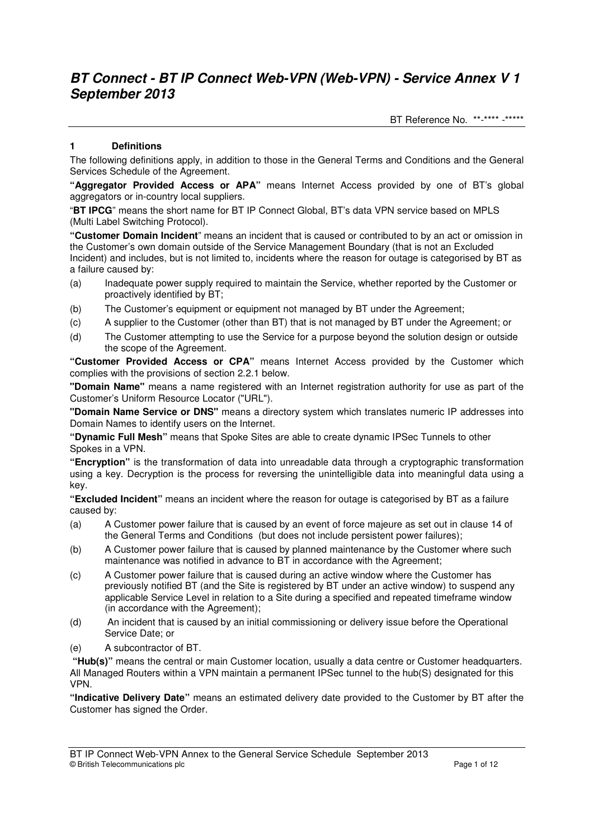BT Reference No. \*\*-\*\*\*\* -\*\*\*\*\*

## **1 Definitions**

The following definitions apply, in addition to those in the General Terms and Conditions and the General Services Schedule of the Agreement.

**"Aggregator Provided Access or APA"** means Internet Access provided by one of BT's global aggregators or in-country local suppliers.

"**BT IPCG**" means the short name for BT IP Connect Global, BT's data VPN service based on MPLS (Multi Label Switching Protocol).

**"Customer Domain Incident**" means an incident that is caused or contributed to by an act or omission in the Customer's own domain outside of the Service Management Boundary (that is not an Excluded Incident) and includes, but is not limited to, incidents where the reason for outage is categorised by BT as a failure caused by:

- (a) Inadequate power supply required to maintain the Service, whether reported by the Customer or proactively identified by BT;
- (b) The Customer's equipment or equipment not managed by BT under the Agreement;
- (c) A supplier to the Customer (other than BT) that is not managed by BT under the Agreement; or
- (d) The Customer attempting to use the Service for a purpose beyond the solution design or outside the scope of the Agreement.

**"Customer Provided Access or CPA"** means Internet Access provided by the Customer which complies with the provisions of section 2.2.1 below.

**"Domain Name"** means a name registered with an Internet registration authority for use as part of the Customer's Uniform Resource Locator ("URL").

**"Domain Name Service or DNS"** means a directory system which translates numeric IP addresses into Domain Names to identify users on the Internet.

**"Dynamic Full Mesh"** means that Spoke Sites are able to create dynamic IPSec Tunnels to other Spokes in a VPN.

**"Encryption"** is the transformation of data into unreadable data through a cryptographic transformation using a key. Decryption is the process for reversing the unintelligible data into meaningful data using a key.

**"Excluded Incident"** means an incident where the reason for outage is categorised by BT as a failure caused by:

- (a) A Customer power failure that is caused by an event of force majeure as set out in clause 14 of the General Terms and Conditions (but does not include persistent power failures);
- (b) A Customer power failure that is caused by planned maintenance by the Customer where such maintenance was notified in advance to BT in accordance with the Agreement;
- (c) A Customer power failure that is caused during an active window where the Customer has previously notified BT (and the Site is registered by BT under an active window) to suspend any applicable Service Level in relation to a Site during a specified and repeated timeframe window (in accordance with the Agreement);
- (d) An incident that is caused by an initial commissioning or delivery issue before the Operational Service Date; or
- (e) A subcontractor of BT.

**"Hub(s)"** means the central or main Customer location, usually a data centre or Customer headquarters. All Managed Routers within a VPN maintain a permanent IPSec tunnel to the hub(S) designated for this VPN.

**"Indicative Delivery Date"** means an estimated delivery date provided to the Customer by BT after the Customer has signed the Order.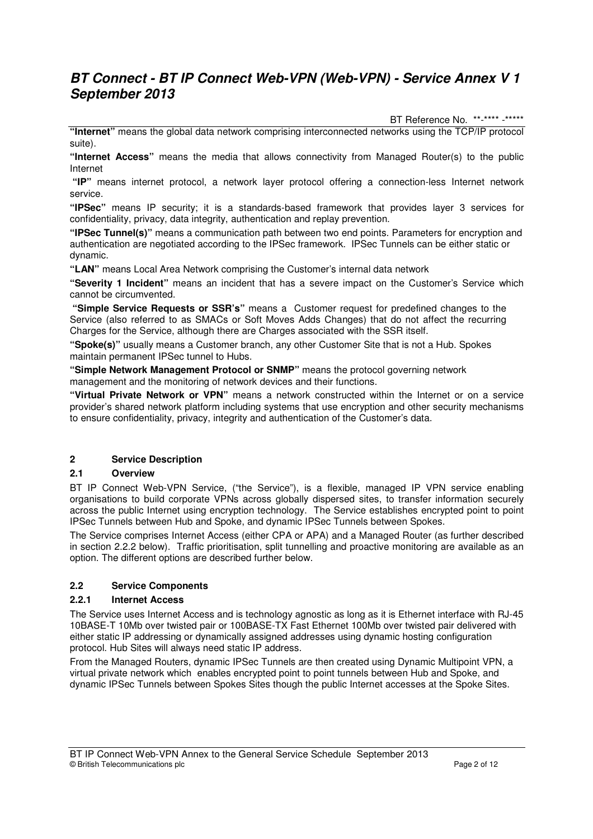BT Reference No. \*\*-\*\*\*\* -\*\*\*\*\*

**"Internet"** means the global data network comprising interconnected networks using the TCP/IP protocol suite).

**"Internet Access"** means the media that allows connectivity from Managed Router(s) to the public Internet

 **"IP"** means internet protocol, a network layer protocol offering a connection-less Internet network service.

**"IPSec"** means IP security; it is a standards-based framework that provides layer 3 services for confidentiality, privacy, data integrity, authentication and replay prevention.

**"IPSec Tunnel(s)"** means a communication path between two end points. Parameters for encryption and authentication are negotiated according to the IPSec framework. IPSec Tunnels can be either static or dynamic.

**"LAN"** means Local Area Network comprising the Customer's internal data network

**"Severity 1 Incident"** means an incident that has a severe impact on the Customer's Service which cannot be circumvented.

 **"Simple Service Requests or SSR's"** means a Customer request for predefined changes to the Service (also referred to as SMACs or Soft Moves Adds Changes) that do not affect the recurring Charges for the Service, although there are Charges associated with the SSR itself.

**"Spoke(s)"** usually means a Customer branch, any other Customer Site that is not a Hub. Spokes maintain permanent IPSec tunnel to Hubs.

**"Simple Network Management Protocol or SNMP"** means the protocol governing network management and the monitoring of network devices and their functions.

**"Virtual Private Network or VPN"** means a network constructed within the Internet or on a service provider's shared network platform including systems that use encryption and other security mechanisms to ensure confidentiality, privacy, integrity and authentication of the Customer's data.

### **2 Service Description**

### **2.1 Overview**

BT IP Connect Web-VPN Service, ("the Service"), is a flexible, managed IP VPN service enabling organisations to build corporate VPNs across globally dispersed sites, to transfer information securely across the public Internet using encryption technology. The Service establishes encrypted point to point IPSec Tunnels between Hub and Spoke, and dynamic IPSec Tunnels between Spokes.

The Service comprises Internet Access (either CPA or APA) and a Managed Router (as further described in section 2.2.2 below). Traffic prioritisation, split tunnelling and proactive monitoring are available as an option. The different options are described further below.

# **2.2 Service Components**

### **2.2.1 Internet Access**

The Service uses Internet Access and is technology agnostic as long as it is Ethernet interface with RJ-45 10BASE-T 10Mb over twisted pair or 100BASE-TX Fast Ethernet 100Mb over twisted pair delivered with either static IP addressing or dynamically assigned addresses using dynamic hosting configuration protocol. Hub Sites will always need static IP address.

From the Managed Routers, dynamic IPSec Tunnels are then created using Dynamic Multipoint VPN, a virtual private network which enables encrypted point to point tunnels between Hub and Spoke, and dynamic IPSec Tunnels between Spokes Sites though the public Internet accesses at the Spoke Sites.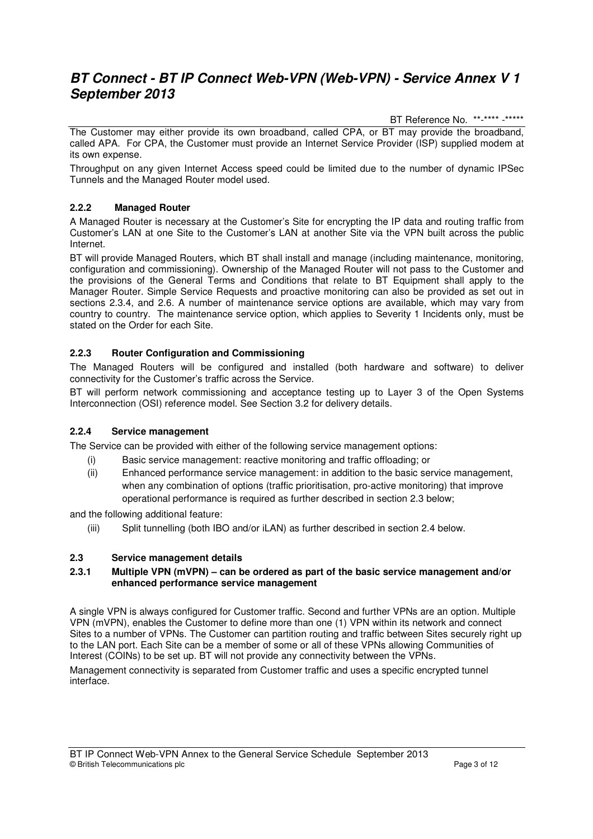BT Reference No. \*\*-\*\*\*\* -\*\*\*\*\*

The Customer may either provide its own broadband, called CPA, or BT may provide the broadband, called APA. For CPA, the Customer must provide an Internet Service Provider (ISP) supplied modem at its own expense.

Throughput on any given Internet Access speed could be limited due to the number of dynamic IPSec Tunnels and the Managed Router model used.

# **2.2.2 Managed Router**

A Managed Router is necessary at the Customer's Site for encrypting the IP data and routing traffic from Customer's LAN at one Site to the Customer's LAN at another Site via the VPN built across the public Internet.

BT will provide Managed Routers, which BT shall install and manage (including maintenance, monitoring, configuration and commissioning). Ownership of the Managed Router will not pass to the Customer and the provisions of the General Terms and Conditions that relate to BT Equipment shall apply to the Manager Router. Simple Service Requests and proactive monitoring can also be provided as set out in sections 2.3.4, and 2.6. A number of maintenance service options are available, which may vary from country to country. The maintenance service option, which applies to Severity 1 Incidents only, must be stated on the Order for each Site.

### **2.2.3 Router Configuration and Commissioning**

The Managed Routers will be configured and installed (both hardware and software) to deliver connectivity for the Customer's traffic across the Service.

BT will perform network commissioning and acceptance testing up to Layer 3 of the Open Systems Interconnection (OSI) reference model. See Section 3.2 for delivery details.

### **2.2.4 Service management**

The Service can be provided with either of the following service management options:

- (i) Basic service management: reactive monitoring and traffic offloading; or
- (ii) Enhanced performance service management: in addition to the basic service management, when any combination of options (traffic prioritisation, pro-active monitoring) that improve operational performance is required as further described in section 2.3 below;

and the following additional feature:

(iii) Split tunnelling (both IBO and/or iLAN) as further described in section 2.4 below.

### **2.3 Service management details**

#### **2.3.1 Multiple VPN (mVPN) – can be ordered as part of the basic service management and/or enhanced performance service management**

A single VPN is always configured for Customer traffic. Second and further VPNs are an option. Multiple VPN (mVPN), enables the Customer to define more than one (1) VPN within its network and connect Sites to a number of VPNs. The Customer can partition routing and traffic between Sites securely right up to the LAN port. Each Site can be a member of some or all of these VPNs allowing Communities of Interest (COINs) to be set up. BT will not provide any connectivity between the VPNs.

Management connectivity is separated from Customer traffic and uses a specific encrypted tunnel interface.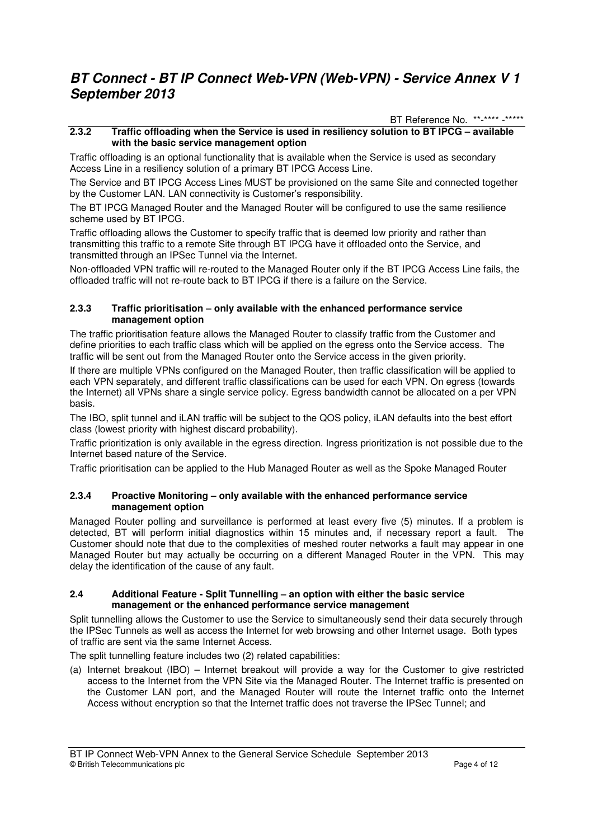BT Reference No. \*\*-\*\*\*\* -\*\*\*\*\*

### **2.3.2 Traffic offloading when the Service is used in resiliency solution to BT IPCG – available with the basic service management option**

Traffic offloading is an optional functionality that is available when the Service is used as secondary Access Line in a resiliency solution of a primary BT IPCG Access Line.

The Service and BT IPCG Access Lines MUST be provisioned on the same Site and connected together by the Customer LAN. LAN connectivity is Customer's responsibility.

The BT IPCG Managed Router and the Managed Router will be configured to use the same resilience scheme used by BT IPCG.

Traffic offloading allows the Customer to specify traffic that is deemed low priority and rather than transmitting this traffic to a remote Site through BT IPCG have it offloaded onto the Service, and transmitted through an IPSec Tunnel via the Internet.

Non-offloaded VPN traffic will re-routed to the Managed Router only if the BT IPCG Access Line fails, the offloaded traffic will not re-route back to BT IPCG if there is a failure on the Service.

#### **2.3.3 Traffic prioritisation – only available with the enhanced performance service management option**

The traffic prioritisation feature allows the Managed Router to classify traffic from the Customer and define priorities to each traffic class which will be applied on the egress onto the Service access. The traffic will be sent out from the Managed Router onto the Service access in the given priority.

If there are multiple VPNs configured on the Managed Router, then traffic classification will be applied to each VPN separately, and different traffic classifications can be used for each VPN. On egress (towards the Internet) all VPNs share a single service policy. Egress bandwidth cannot be allocated on a per VPN basis.

The IBO, split tunnel and iLAN traffic will be subject to the QOS policy, iLAN defaults into the best effort class (lowest priority with highest discard probability).

Traffic prioritization is only available in the egress direction. Ingress prioritization is not possible due to the Internet based nature of the Service.

Traffic prioritisation can be applied to the Hub Managed Router as well as the Spoke Managed Router

#### **2.3.4 Proactive Monitoring – only available with the enhanced performance service management option**

Managed Router polling and surveillance is performed at least every five (5) minutes. If a problem is detected, BT will perform initial diagnostics within 15 minutes and, if necessary report a fault. The Customer should note that due to the complexities of meshed router networks a fault may appear in one Managed Router but may actually be occurring on a different Managed Router in the VPN. This may delay the identification of the cause of any fault.

#### **2.4 Additional Feature - Split Tunnelling – an option with either the basic service management or the enhanced performance service management**

Split tunnelling allows the Customer to use the Service to simultaneously send their data securely through the IPSec Tunnels as well as access the Internet for web browsing and other Internet usage. Both types of traffic are sent via the same Internet Access.

The split tunnelling feature includes two (2) related capabilities:

(a) Internet breakout (IBO) – Internet breakout will provide a way for the Customer to give restricted access to the Internet from the VPN Site via the Managed Router. The Internet traffic is presented on the Customer LAN port, and the Managed Router will route the Internet traffic onto the Internet Access without encryption so that the Internet traffic does not traverse the IPSec Tunnel; and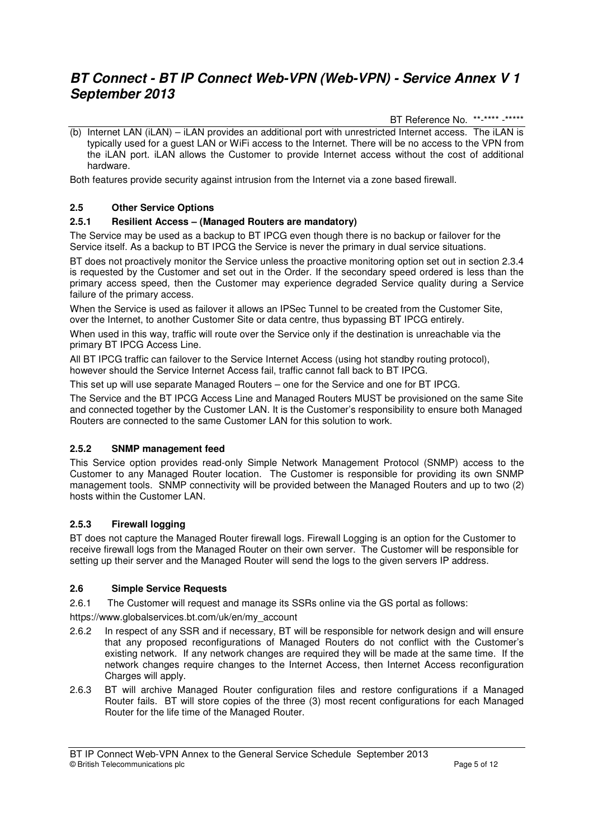BT Reference No. \*\*-\*\*\*\* -\*\*\*\*\*

 $(b)$  Internet LAN (iLAN) – iLAN provides an additional port with unrestricted Internet access. The iLAN is typically used for a guest LAN or WiFi access to the Internet. There will be no access to the VPN from the iLAN port. iLAN allows the Customer to provide Internet access without the cost of additional hardware.

Both features provide security against intrusion from the Internet via a zone based firewall.

# **2.5 Other Service Options**

# **2.5.1 Resilient Access – (Managed Routers are mandatory)**

The Service may be used as a backup to BT IPCG even though there is no backup or failover for the Service itself. As a backup to BT IPCG the Service is never the primary in dual service situations.

BT does not proactively monitor the Service unless the proactive monitoring option set out in section 2.3.4 is requested by the Customer and set out in the Order. If the secondary speed ordered is less than the primary access speed, then the Customer may experience degraded Service quality during a Service failure of the primary access.

When the Service is used as failover it allows an IPSec Tunnel to be created from the Customer Site, over the Internet, to another Customer Site or data centre, thus bypassing BT IPCG entirely.

When used in this way, traffic will route over the Service only if the destination is unreachable via the primary BT IPCG Access Line.

All BT IPCG traffic can failover to the Service Internet Access (using hot standby routing protocol), however should the Service Internet Access fail, traffic cannot fall back to BT IPCG.

This set up will use separate Managed Routers – one for the Service and one for BT IPCG.

The Service and the BT IPCG Access Line and Managed Routers MUST be provisioned on the same Site and connected together by the Customer LAN. It is the Customer's responsibility to ensure both Managed Routers are connected to the same Customer LAN for this solution to work.

### **2.5.2 SNMP management feed**

This Service option provides read-only Simple Network Management Protocol (SNMP) access to the Customer to any Managed Router location. The Customer is responsible for providing its own SNMP management tools. SNMP connectivity will be provided between the Managed Routers and up to two (2) hosts within the Customer LAN.

# **2.5.3 Firewall logging**

BT does not capture the Managed Router firewall logs. Firewall Logging is an option for the Customer to receive firewall logs from the Managed Router on their own server. The Customer will be responsible for setting up their server and the Managed Router will send the logs to the given servers IP address.

### **2.6 Simple Service Requests**

2.6.1 The Customer will request and manage its SSRs online via the GS portal as follows:

https://www.globalservices.bt.com/uk/en/my\_account

- 2.6.2 In respect of any SSR and if necessary, BT will be responsible for network design and will ensure that any proposed reconfigurations of Managed Routers do not conflict with the Customer's existing network. If any network changes are required they will be made at the same time. If the network changes require changes to the Internet Access, then Internet Access reconfiguration Charges will apply.
- 2.6.3 BT will archive Managed Router configuration files and restore configurations if a Managed Router fails. BT will store copies of the three (3) most recent configurations for each Managed Router for the life time of the Managed Router.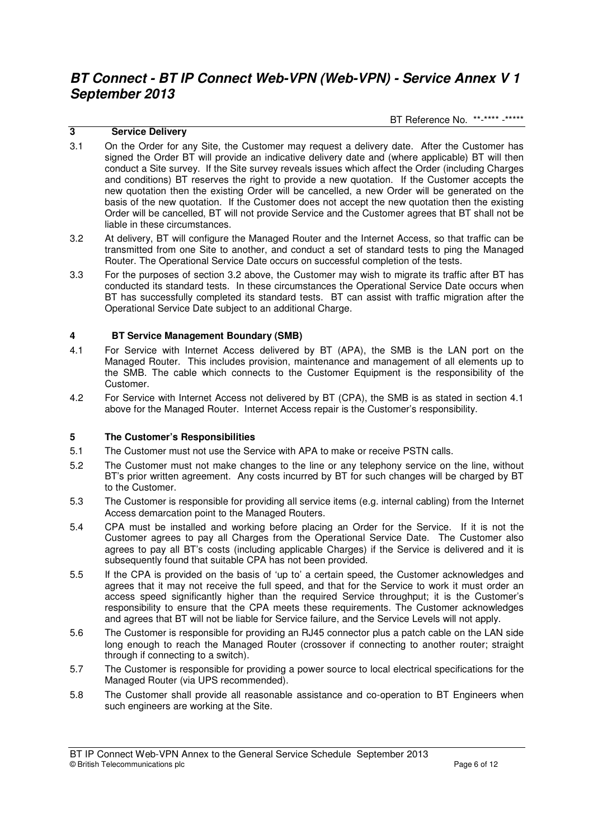BT Reference No. \*\*-\*\*\*\* -\*\*\*\*\*

## **3 Service Delivery**

- 3.1 On the Order for any Site, the Customer may request a delivery date. After the Customer has signed the Order BT will provide an indicative delivery date and (where applicable) BT will then conduct a Site survey. If the Site survey reveals issues which affect the Order (including Charges and conditions) BT reserves the right to provide a new quotation. If the Customer accepts the new quotation then the existing Order will be cancelled, a new Order will be generated on the basis of the new quotation. If the Customer does not accept the new quotation then the existing Order will be cancelled, BT will not provide Service and the Customer agrees that BT shall not be liable in these circumstances.
- 3.2 At delivery, BT will configure the Managed Router and the Internet Access, so that traffic can be transmitted from one Site to another, and conduct a set of standard tests to ping the Managed Router. The Operational Service Date occurs on successful completion of the tests.
- 3.3 For the purposes of section 3.2 above, the Customer may wish to migrate its traffic after BT has conducted its standard tests. In these circumstances the Operational Service Date occurs when BT has successfully completed its standard tests. BT can assist with traffic migration after the Operational Service Date subject to an additional Charge.

### **4 BT Service Management Boundary (SMB)**

- 4.1 For Service with Internet Access delivered by BT (APA), the SMB is the LAN port on the Managed Router. This includes provision, maintenance and management of all elements up to the SMB. The cable which connects to the Customer Equipment is the responsibility of the Customer.
- 4.2 For Service with Internet Access not delivered by BT (CPA), the SMB is as stated in section 4.1 above for the Managed Router. Internet Access repair is the Customer's responsibility.

### **5 The Customer's Responsibilities**

- 5.1 The Customer must not use the Service with APA to make or receive PSTN calls.
- 5.2 The Customer must not make changes to the line or any telephony service on the line, without BT's prior written agreement. Any costs incurred by BT for such changes will be charged by BT to the Customer.
- 5.3 The Customer is responsible for providing all service items (e.g. internal cabling) from the Internet Access demarcation point to the Managed Routers.
- 5.4 CPA must be installed and working before placing an Order for the Service. If it is not the Customer agrees to pay all Charges from the Operational Service Date. The Customer also agrees to pay all BT's costs (including applicable Charges) if the Service is delivered and it is subsequently found that suitable CPA has not been provided.
- 5.5 If the CPA is provided on the basis of 'up to' a certain speed, the Customer acknowledges and agrees that it may not receive the full speed, and that for the Service to work it must order an access speed significantly higher than the required Service throughput; it is the Customer's responsibility to ensure that the CPA meets these requirements. The Customer acknowledges and agrees that BT will not be liable for Service failure, and the Service Levels will not apply.
- 5.6 The Customer is responsible for providing an RJ45 connector plus a patch cable on the LAN side long enough to reach the Managed Router (crossover if connecting to another router; straight through if connecting to a switch).
- 5.7 The Customer is responsible for providing a power source to local electrical specifications for the Managed Router (via UPS recommended).
- 5.8 The Customer shall provide all reasonable assistance and co-operation to BT Engineers when such engineers are working at the Site.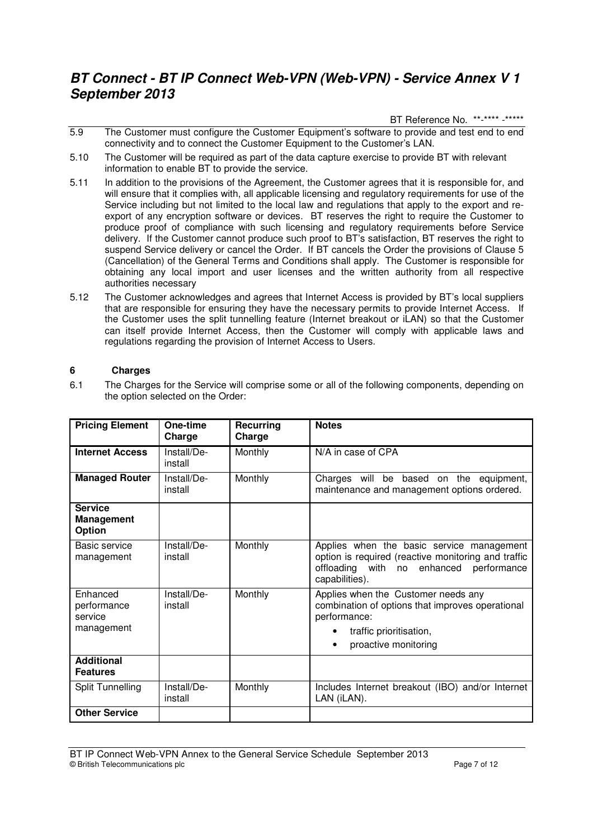BT Reference No. \*\*-\*\*\*\* -\*\*\*\*\*

- 5.9 The Customer must configure the Customer Equipment's software to provide and test end to end connectivity and to connect the Customer Equipment to the Customer's LAN.
- 5.10 The Customer will be required as part of the data capture exercise to provide BT with relevant information to enable BT to provide the service.
- 5.11 In addition to the provisions of the Agreement, the Customer agrees that it is responsible for, and will ensure that it complies with, all applicable licensing and regulatory requirements for use of the Service including but not limited to the local law and regulations that apply to the export and reexport of any encryption software or devices. BT reserves the right to require the Customer to produce proof of compliance with such licensing and regulatory requirements before Service delivery. If the Customer cannot produce such proof to BT's satisfaction, BT reserves the right to suspend Service delivery or cancel the Order. If BT cancels the Order the provisions of Clause 5 (Cancellation) of the General Terms and Conditions shall apply. The Customer is responsible for obtaining any local import and user licenses and the written authority from all respective authorities necessary
- 5.12 The Customer acknowledges and agrees that Internet Access is provided by BT's local suppliers that are responsible for ensuring they have the necessary permits to provide Internet Access. If the Customer uses the split tunnelling feature (Internet breakout or iLAN) so that the Customer can itself provide Internet Access, then the Customer will comply with applicable laws and regulations regarding the provision of Internet Access to Users.

# **6 Charges**

6.1 The Charges for the Service will comprise some or all of the following components, depending on the option selected on the Order:

| <b>Pricing Element</b>                               | One-time<br>Charge     | Recurring<br>Charge | <b>Notes</b>                                                                                                                                                  |
|------------------------------------------------------|------------------------|---------------------|---------------------------------------------------------------------------------------------------------------------------------------------------------------|
| <b>Internet Access</b>                               | Install/De-<br>install | Monthly             | N/A in case of CPA                                                                                                                                            |
| <b>Managed Router</b>                                | Install/De-<br>install | Monthly             | Charges will be based on the equipment,<br>maintenance and management options ordered.                                                                        |
| <b>Service</b><br><b>Management</b><br><b>Option</b> |                        |                     |                                                                                                                                                               |
| Basic service<br>management                          | Install/De-<br>install | Monthly             | Applies when the basic service management<br>option is required (reactive monitoring and traffic<br>offloading with no enhanced performance<br>capabilities). |
| Enhanced<br>performance<br>service<br>management     | Install/De-<br>install | Monthly             | Applies when the Customer needs any<br>combination of options that improves operational<br>performance:<br>traffic prioritisation,<br>proactive monitoring    |
| <b>Additional</b><br><b>Features</b>                 |                        |                     |                                                                                                                                                               |
| <b>Split Tunnelling</b>                              | Install/De-<br>install | Monthly             | Includes Internet breakout (IBO) and/or Internet<br>LAN (iLAN).                                                                                               |
| <b>Other Service</b>                                 |                        |                     |                                                                                                                                                               |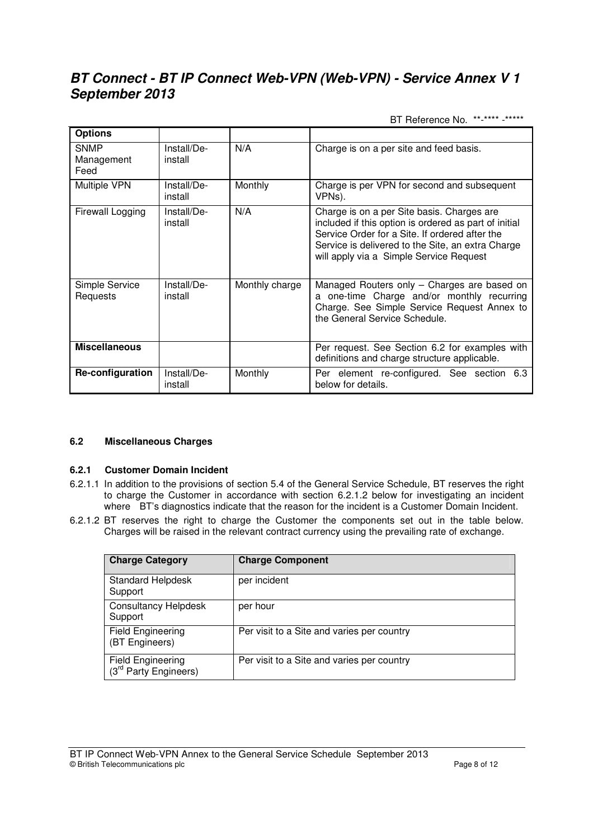BT Reference No. \*\*-\*\*\*\* -\*\*\*\*\*

| <b>Options</b>             |                        |                |                                                                                                                                                                                                                                                       |
|----------------------------|------------------------|----------------|-------------------------------------------------------------------------------------------------------------------------------------------------------------------------------------------------------------------------------------------------------|
| SNMP<br>Management<br>Feed | Install/De-<br>install | N/A            | Charge is on a per site and feed basis.                                                                                                                                                                                                               |
| <b>Multiple VPN</b>        | Install/De-<br>install | Monthly        | Charge is per VPN for second and subsequent<br>VPNs).                                                                                                                                                                                                 |
| Firewall Logging           | Install/De-<br>install | N/A            | Charge is on a per Site basis. Charges are<br>included if this option is ordered as part of initial<br>Service Order for a Site. If ordered after the<br>Service is delivered to the Site, an extra Charge<br>will apply via a Simple Service Request |
| Simple Service<br>Requests | Install/De-<br>install | Monthly charge | Managed Routers only - Charges are based on<br>a one-time Charge and/or monthly recurring<br>Charge. See Simple Service Request Annex to<br>the General Service Schedule.                                                                             |
| <b>Miscellaneous</b>       |                        |                | Per request. See Section 6.2 for examples with<br>definitions and charge structure applicable.                                                                                                                                                        |
| Re-configuration           | Install/De-<br>install | Monthly        | Per element re-configured. See section 6.3<br>below for details.                                                                                                                                                                                      |

### **6.2 Miscellaneous Charges**

### **6.2.1 Customer Domain Incident**

- 6.2.1.1 In addition to the provisions of section 5.4 of the General Service Schedule, BT reserves the right to charge the Customer in accordance with section 6.2.1.2 below for investigating an incident where BT's diagnostics indicate that the reason for the incident is a Customer Domain Incident.
- 6.2.1.2 BT reserves the right to charge the Customer the components set out in the table below. Charges will be raised in the relevant contract currency using the prevailing rate of exchange.

| <b>Charge Category</b>                                        | <b>Charge Component</b>                    |  |
|---------------------------------------------------------------|--------------------------------------------|--|
| <b>Standard Helpdesk</b><br>Support                           | per incident                               |  |
| <b>Consultancy Helpdesk</b><br>Support                        | per hour                                   |  |
| Field Engineering<br>(BT Engineers)                           | Per visit to a Site and varies per country |  |
| <b>Field Engineering</b><br>(3 <sup>rd</sup> Party Engineers) | Per visit to a Site and varies per country |  |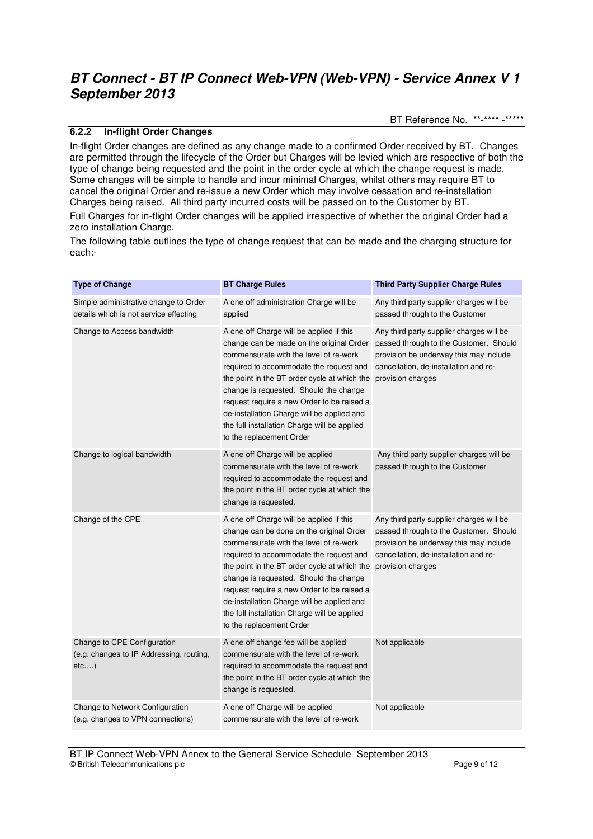BT Reference No. \*\*-\*\*\*\* -\*\*\*\*\*

# **6.2.2 In-flight Order Changes**

In-flight Order changes are defined as any change made to a confirmed Order received by BT. Changes are permitted through the lifecycle of the Order but Charges will be levied which are respective of both the type of change being requested and the point in the order cycle at which the change request is made. Some changes will be simple to handle and incur minimal Charges, whilst others may require BT to cancel the original Order and re-issue a new Order which may involve cessation and re-installation Charges being raised. All third party incurred costs will be passed on to the Customer by BT.

Full Charges for in-flight Order changes will be applied irrespective of whether the original Order had a zero installation Charge.

The following table outlines the type of change request that can be made and the charging structure for each:-

| <b>Type of Change</b>                                                           | <b>BT Charge Rules</b>                                                                                                                                                                                                                                                                                                                                                                                                                      | <b>Third Party Supplier Charge Rules</b>                                                                                                                                                   |
|---------------------------------------------------------------------------------|---------------------------------------------------------------------------------------------------------------------------------------------------------------------------------------------------------------------------------------------------------------------------------------------------------------------------------------------------------------------------------------------------------------------------------------------|--------------------------------------------------------------------------------------------------------------------------------------------------------------------------------------------|
| Simple administrative change to Order<br>details which is not service effecting | A one off administration Charge will be<br>applied                                                                                                                                                                                                                                                                                                                                                                                          | Any third party supplier charges will be<br>passed through to the Customer                                                                                                                 |
| Change to Access bandwidth                                                      | A one off Charge will be applied if this<br>change can be made on the original Order<br>commensurate with the level of re-work<br>required to accommodate the request and<br>the point in the BT order cycle at which the<br>change is requested. Should the change<br>request require a new Order to be raised a<br>de-installation Charge will be applied and<br>the full installation Charge will be applied<br>to the replacement Order | Any third party supplier charges will be<br>passed through to the Customer. Should<br>provision be underway this may include<br>cancellation, de-installation and re-<br>provision charges |
| Change to logical bandwidth                                                     | A one off Charge will be applied<br>commensurate with the level of re-work<br>required to accommodate the request and<br>the point in the BT order cycle at which the<br>change is requested.                                                                                                                                                                                                                                               | Any third party supplier charges will be<br>passed through to the Customer                                                                                                                 |
| Change of the CPE                                                               | A one off Charge will be applied if this<br>change can be done on the original Order<br>commensurate with the level of re-work<br>required to accommodate the request and<br>the point in the BT order cycle at which the<br>change is requested. Should the change                                                                                                                                                                         | Any third party supplier charges will be<br>passed through to the Customer. Should<br>provision be underway this may include<br>cancellation, de-installation and re-<br>provision charges |
|                                                                                 | request require a new Order to be raised a<br>de-installation Charge will be applied and<br>the full installation Charge will be applied<br>to the replacement Order                                                                                                                                                                                                                                                                        |                                                                                                                                                                                            |
| Change to CPE Configuration<br>(e.g. changes to IP Addressing, routing,<br>etc) | A one off change fee will be applied<br>commensurate with the level of re-work<br>required to accommodate the request and<br>the point in the BT order cycle at which the<br>change is requested.                                                                                                                                                                                                                                           | Not applicable                                                                                                                                                                             |
| Change to Network Configuration<br>(e.g. changes to VPN connections)            | A one off Charge will be applied<br>commensurate with the level of re-work                                                                                                                                                                                                                                                                                                                                                                  | Not applicable                                                                                                                                                                             |

BT IP Connect Web-VPN Annex to the General Service Schedule September 2013 © British Telecommunications plc Page 9 of 12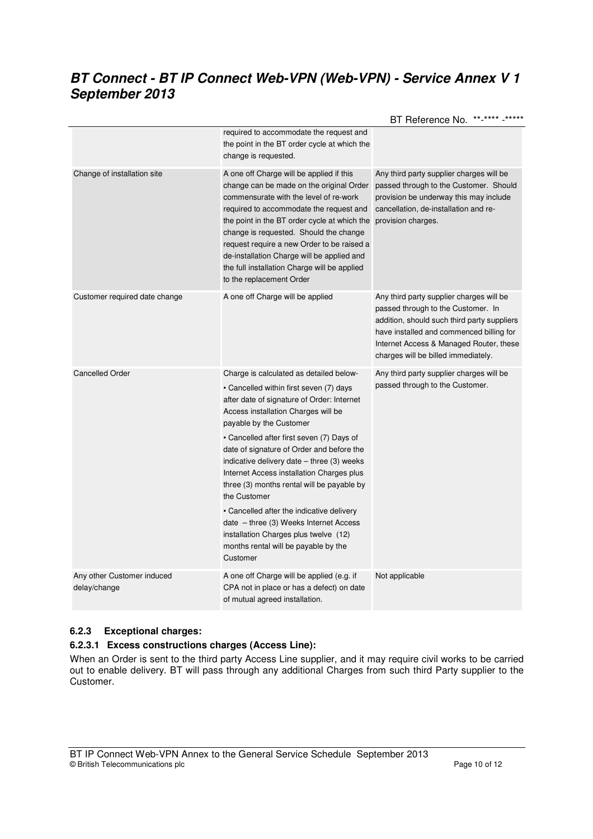|                                            |                                                                                                                                                                                                                                                                                                                                                                                                                                                                                                                                                                                                                                           | **_****_*****<br>BT Reference No.                                                                                                                                                                                                                           |
|--------------------------------------------|-------------------------------------------------------------------------------------------------------------------------------------------------------------------------------------------------------------------------------------------------------------------------------------------------------------------------------------------------------------------------------------------------------------------------------------------------------------------------------------------------------------------------------------------------------------------------------------------------------------------------------------------|-------------------------------------------------------------------------------------------------------------------------------------------------------------------------------------------------------------------------------------------------------------|
|                                            | required to accommodate the request and<br>the point in the BT order cycle at which the<br>change is requested.                                                                                                                                                                                                                                                                                                                                                                                                                                                                                                                           |                                                                                                                                                                                                                                                             |
| Change of installation site                | A one off Charge will be applied if this<br>change can be made on the original Order<br>commensurate with the level of re-work<br>required to accommodate the request and<br>the point in the BT order cycle at which the<br>change is requested. Should the change<br>request require a new Order to be raised a<br>de-installation Charge will be applied and<br>the full installation Charge will be applied<br>to the replacement Order                                                                                                                                                                                               | Any third party supplier charges will be<br>passed through to the Customer. Should<br>provision be underway this may include<br>cancellation, de-installation and re-<br>provision charges.                                                                 |
| Customer required date change              | A one off Charge will be applied                                                                                                                                                                                                                                                                                                                                                                                                                                                                                                                                                                                                          | Any third party supplier charges will be<br>passed through to the Customer. In<br>addition, should such third party suppliers<br>have installed and commenced billing for<br>Internet Access & Managed Router, these<br>charges will be billed immediately. |
| <b>Cancelled Order</b>                     | Charge is calculated as detailed below-<br>• Cancelled within first seven (7) days<br>after date of signature of Order: Internet<br>Access installation Charges will be<br>payable by the Customer<br>• Cancelled after first seven (7) Days of<br>date of signature of Order and before the<br>indicative delivery date – three (3) weeks<br>Internet Access installation Charges plus<br>three (3) months rental will be payable by<br>the Customer<br>• Cancelled after the indicative delivery<br>date - three (3) Weeks Internet Access<br>installation Charges plus twelve (12)<br>months rental will be payable by the<br>Customer | Any third party supplier charges will be<br>passed through to the Customer.                                                                                                                                                                                 |
| Any other Customer induced<br>delay/change | A one off Charge will be applied (e.g. if<br>CPA not in place or has a defect) on date<br>of mutual agreed installation.                                                                                                                                                                                                                                                                                                                                                                                                                                                                                                                  | Not applicable                                                                                                                                                                                                                                              |

# **6.2.3 Exceptional charges:**

# **6.2.3.1 Excess constructions charges (Access Line):**

When an Order is sent to the third party Access Line supplier, and it may require civil works to be carried out to enable delivery. BT will pass through any additional Charges from such third Party supplier to the Customer.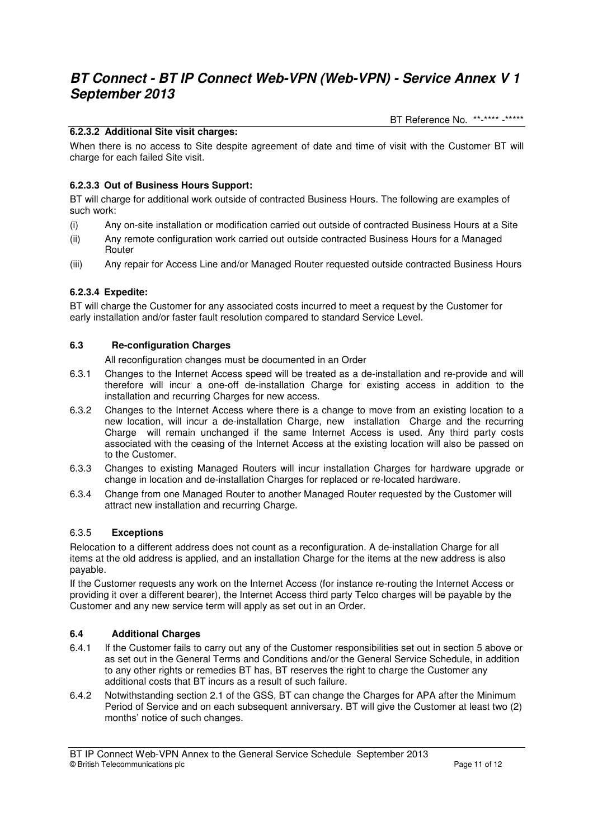BT Reference No. \*\*-\*\*\*\* -\*\*\*\*\*

# **6.2.3.2 Additional Site visit charges:**

When there is no access to Site despite agreement of date and time of visit with the Customer BT will charge for each failed Site visit.

# **6.2.3.3 Out of Business Hours Support:**

BT will charge for additional work outside of contracted Business Hours. The following are examples of such work:

- (i) Any on-site installation or modification carried out outside of contracted Business Hours at a Site
- (ii) Any remote configuration work carried out outside contracted Business Hours for a Managed Router
- (iii) Any repair for Access Line and/or Managed Router requested outside contracted Business Hours

# **6.2.3.4 Expedite:**

BT will charge the Customer for any associated costs incurred to meet a request by the Customer for early installation and/or faster fault resolution compared to standard Service Level.

## **6.3 Re-configuration Charges**

All reconfiguration changes must be documented in an Order

- 6.3.1 Changes to the Internet Access speed will be treated as a de-installation and re-provide and will therefore will incur a one-off de-installation Charge for existing access in addition to the installation and recurring Charges for new access.
- 6.3.2 Changes to the Internet Access where there is a change to move from an existing location to a new location, will incur a de-installation Charge, new installation Charge and the recurring Charge will remain unchanged if the same Internet Access is used. Any third party costs associated with the ceasing of the Internet Access at the existing location will also be passed on to the Customer.
- 6.3.3 Changes to existing Managed Routers will incur installation Charges for hardware upgrade or change in location and de-installation Charges for replaced or re-located hardware.
- 6.3.4 Change from one Managed Router to another Managed Router requested by the Customer will attract new installation and recurring Charge.

### 6.3.5 **Exceptions**

Relocation to a different address does not count as a reconfiguration. A de-installation Charge for all items at the old address is applied, and an installation Charge for the items at the new address is also payable.

If the Customer requests any work on the Internet Access (for instance re-routing the Internet Access or providing it over a different bearer), the Internet Access third party Telco charges will be payable by the Customer and any new service term will apply as set out in an Order.

### **6.4 Additional Charges**

- 6.4.1 If the Customer fails to carry out any of the Customer responsibilities set out in section 5 above or as set out in the General Terms and Conditions and/or the General Service Schedule, in addition to any other rights or remedies BT has, BT reserves the right to charge the Customer any additional costs that BT incurs as a result of such failure.
- 6.4.2 Notwithstanding section 2.1 of the GSS, BT can change the Charges for APA after the Minimum Period of Service and on each subsequent anniversary. BT will give the Customer at least two (2) months' notice of such changes.